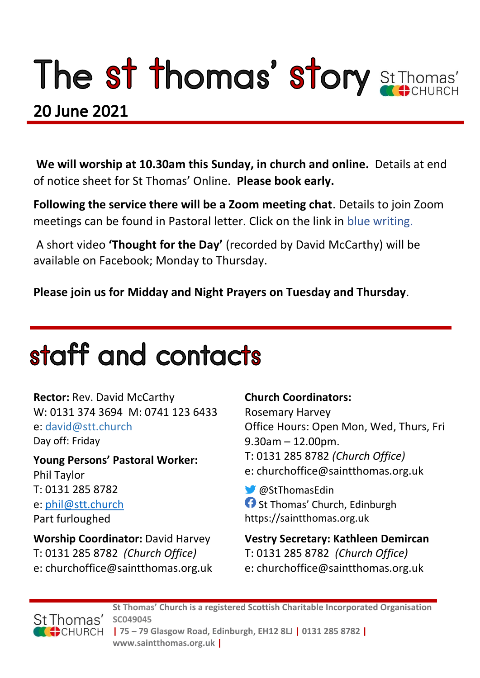# The st thomas' story St Thomas'

### **20 June 2021**

**We will worship at 10.30am this Sunday, in church and online.** Details at end of notice sheet for St Thomas' Online. **Please book early.**

**Following the service there will be a Zoom meeting chat**. Details to join Zoom meetings can be found in Pastoral letter. Click on the link in blue writing.

A short video **'Thought for the Day'** (recorded by David McCarthy) will be available on Facebook; Monday to Thursday.

**Please join us for Midday and Night Prayers on Tuesday and Thursday**.

## staff and contacts

**Rector:** Rev. David McCarthy W: 0131 374 3694 M: 0741 123 6433 e: david@stt.church Day off: Friday

**Young Persons' Pastoral Worker:** Phil Taylor T: 0131 285 8782 e: [phil@stt.church](mailto:phil@stt.church) Part furloughed

**Worship Coordinator:** David Harvey T: 0131 285 8782 *(Church Office)* e: churchoffice@saintthomas.org.uk

#### **Church Coordinators:**

Rosemary Harvey Office Hours: Open Mon, Wed, Thurs, Fri 9.30am – 12.00pm. T: 0131 285 8782 *(Church Office)* e: churchoffice@saintthomas.org.uk

@StThomasEdin **f** St Thomas' Church, Edinburgh https://saintthomas.org.uk

**Vestry Secretary: Kathleen Demircan**  T: 0131 285 8782 *(Church Office)* e: churchoffice@saintthomas.org.uk



**St Thomas' Church is a registered Scottish Charitable Incorporated Organisation SC049045 | 75 – 79 Glasgow Road, Edinburgh, EH12 8LJ | 0131 285 8782 | www.saintthomas.org.uk |**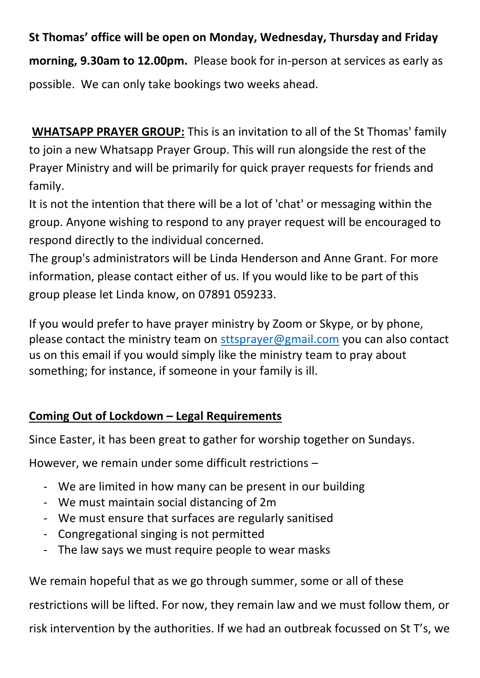**St Thomas' office will be open on Monday, Wednesday, Thursday and Friday morning, 9.30am to 12.00pm.** Please book for in-person at services as early as possible. We can only take bookings two weeks ahead.

**WHATSAPP PRAYER GROUP:** This is an invitation to all of the St Thomas' family to join a new Whatsapp Prayer Group. This will run alongside the rest of the Prayer Ministry and will be primarily for quick prayer requests for friends and family.

It is not the intention that there will be a lot of 'chat' or messaging within the group. Anyone wishing to respond to any prayer request will be encouraged to respond directly to the individual concerned.

The group's administrators will be Linda Henderson and Anne Grant. For more information, please contact either of us. If you would like to be part of this group please let Linda know, on 07891 059233.

If you would prefer to have prayer ministry by Zoom or Skype, or by phone, please contact the ministry team on [sttsprayer@gmail.com](mailto:sttsprayer@gmail.com) you can also contact us on this email if you would simply like the ministry team to pray about something; for instance, if someone in your family is ill.

#### **Coming Out of Lockdown – Legal Requirements**

Since Easter, it has been great to gather for worship together on Sundays.

However, we remain under some difficult restrictions –

- We are limited in how many can be present in our building
- We must maintain social distancing of 2m
- We must ensure that surfaces are regularly sanitised
- Congregational singing is not permitted
- The law says we must require people to wear masks

We remain hopeful that as we go through summer, some or all of these restrictions will be lifted. For now, they remain law and we must follow them, or risk intervention by the authorities. If we had an outbreak focussed on St T's, we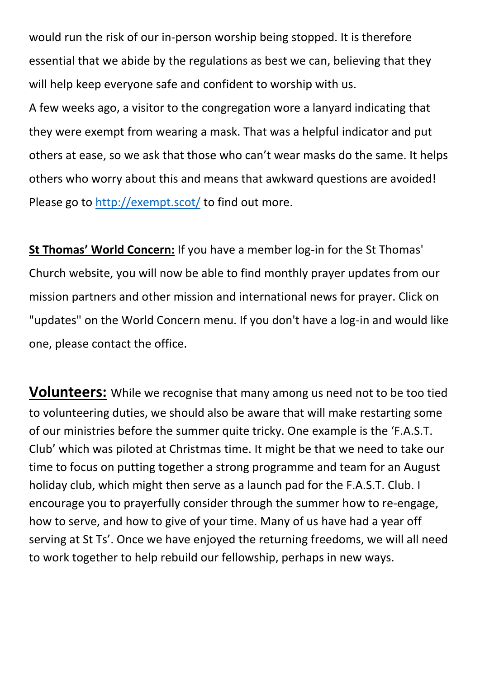would run the risk of our in-person worship being stopped. It is therefore essential that we abide by the regulations as best we can, believing that they will help keep everyone safe and confident to worship with us.

A few weeks ago, a visitor to the congregation wore a lanyard indicating that they were exempt from wearing a mask. That was a helpful indicator and put others at ease, so we ask that those who can't wear masks do the same. It helps others who worry about this and means that awkward questions are avoided! Please go to<http://exempt.scot/> to find out more.

**St Thomas' World Concern:** If you have a member log-in for the St Thomas' Church website, you will now be able to find monthly prayer updates from our mission partners and other mission and international news for prayer. Click on "updates" on the World Concern menu. If you don't have a log-in and would like one, please contact the office.

**Volunteers:** While we recognise that many among us need not to be too tied to volunteering duties, we should also be aware that will make restarting some of our ministries before the summer quite tricky. One example is the 'F.A.S.T. Club' which was piloted at Christmas time. It might be that we need to take our time to focus on putting together a strong programme and team for an August holiday club, which might then serve as a launch pad for the F.A.S.T. Club. I encourage you to prayerfully consider through the summer how to re-engage, how to serve, and how to give of your time. Many of us have had a year off serving at St Ts'. Once we have enjoyed the returning freedoms, we will all need to work together to help rebuild our fellowship, perhaps in new ways.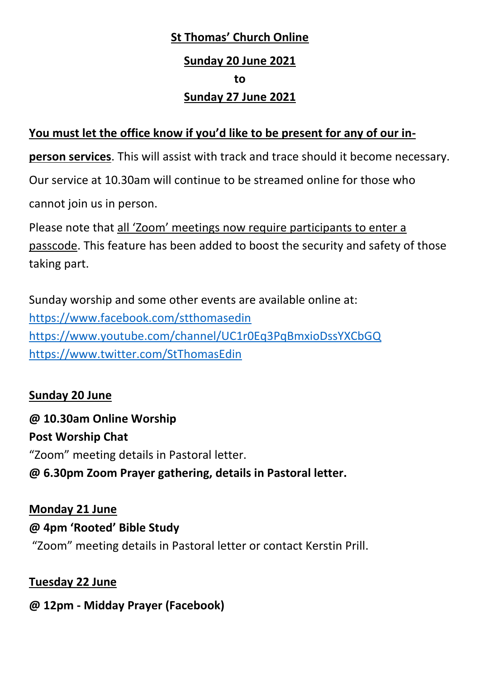### **St Thomas' Church Online Sunday 20 June 2021 to Sunday 27 June 2021**

#### **You must let the office know if you'd like to be present for any of our in-**

**person services**. This will assist with track and trace should it become necessary.

Our service at 10.30am will continue to be streamed online for those who

cannot join us in person.

Please note that all 'Zoom' meetings now require participants to enter a passcode. This feature has been added to boost the security and safety of those taking part.

Sunday worship and some other events are available online at: <https://www.facebook.com/stthomasedin> <https://www.youtube.com/channel/UC1r0Eq3PqBmxioDssYXCbGQ> <https://www.twitter.com/StThomasEdin>

#### **Sunday 20 June**

**@ 10.30am Online Worship Post Worship Chat** "Zoom" meeting details in Pastoral letter. **@ 6.30pm Zoom Prayer gathering, details in Pastoral letter.**

#### **Monday 21 June**

#### **@ 4pm 'Rooted' Bible Study**

"Zoom" meeting details in Pastoral letter or contact Kerstin Prill.

#### **Tuesday 22 June**

#### **@ 12pm - Midday Prayer (Facebook)**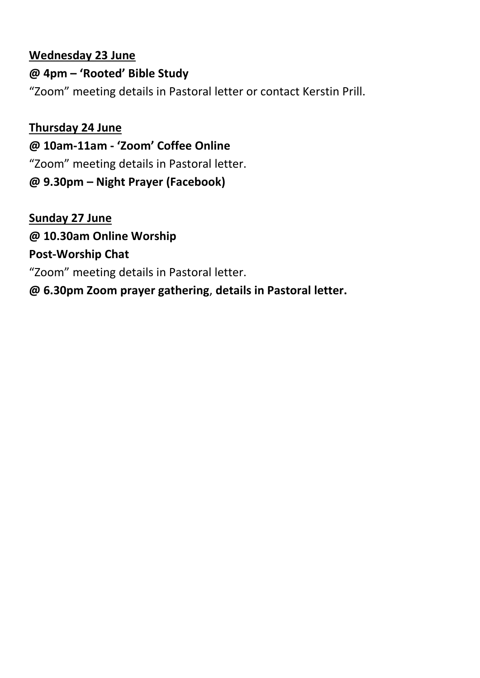#### **Wednesday 23 June**

**@ 4pm – 'Rooted' Bible Study** "Zoom" meeting details in Pastoral letter or contact Kerstin Prill.

**Thursday 24 June @ 10am-11am - 'Zoom' Coffee Online** "Zoom" meeting details in Pastoral letter. **@ 9.30pm – Night Prayer (Facebook)**

**Sunday 27 June @ 10.30am Online Worship Post-Worship Chat**  "Zoom" meeting details in Pastoral letter. **@ 6.30pm Zoom prayer gathering**, **details in Pastoral letter.**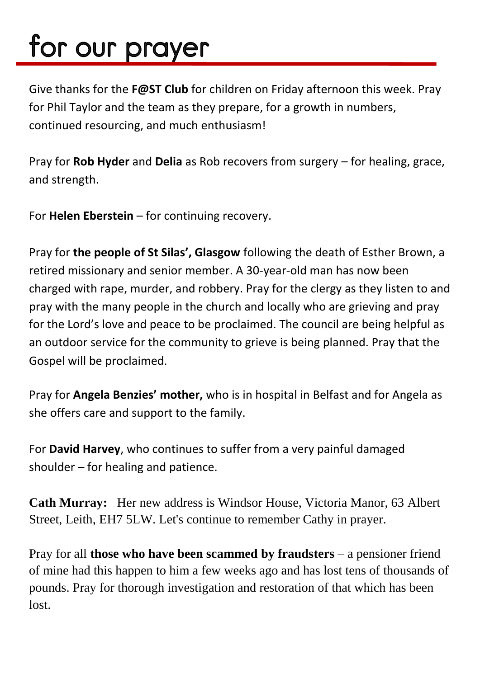# for our prayer

Give thanks for the **F@ST Club** for children on Friday afternoon this week. Pray for Phil Taylor and the team as they prepare, for a growth in numbers, continued resourcing, and much enthusiasm!

Pray for **Rob Hyder** and **Delia** as Rob recovers from surgery – for healing, grace, and strength.

For **Helen Eberstein** – for continuing recovery.

Pray for **the people of St Silas', Glasgow** following the death of Esther Brown, a retired missionary and senior member. A 30-year-old man has now been charged with rape, murder, and robbery. Pray for the clergy as they listen to and pray with the many people in the church and locally who are grieving and pray for the Lord's love and peace to be proclaimed. The council are being helpful as an outdoor service for the community to grieve is being planned. Pray that the Gospel will be proclaimed.

Pray for **Angela Benzies' mother,** who is in hospital in Belfast and for Angela as she offers care and support to the family.

For **David Harvey**, who continues to suffer from a very painful damaged shoulder – for healing and patience.

**Cath Murray:** Her new address is Windsor House, Victoria Manor, 63 Albert Street, Leith, EH7 5LW. Let's continue to remember Cathy in prayer.

Pray for all **those who have been scammed by fraudsters** – a pensioner friend of mine had this happen to him a few weeks ago and has lost tens of thousands of pounds. Pray for thorough investigation and restoration of that which has been lost.